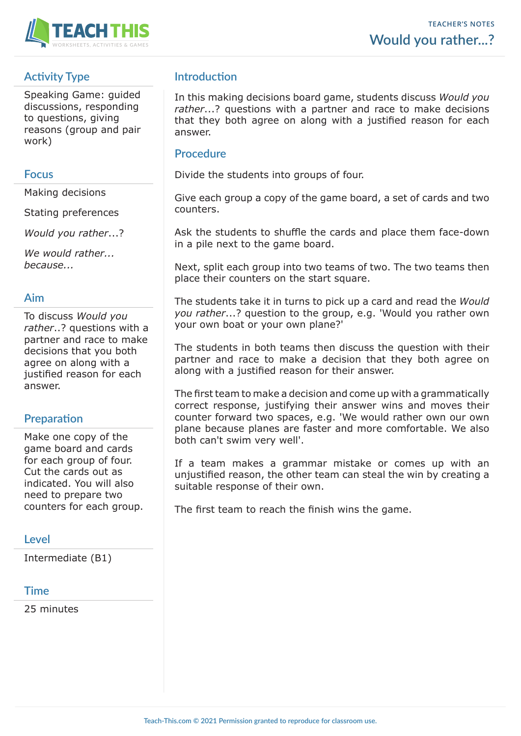

# **Activity Type**

Speaking Game: guided discussions, responding to questions, giving reasons (group and pair work)

### **Focus**

Making decisions

Stating preferences

*Would you rather*...?

*We would rather... because...*

## **Aim**

To discuss *Would you rather*..? questions with a partner and race to make decisions that you both agree on along with a justified reason for each answer.

#### **Preparation**

Make one copy of the game board and cards for each group of four. Cut the cards out as indicated. You will also need to prepare two counters for each group.

# **Level**

Intermediate (B1)

#### **Time**

25 minutes

# **Introduction**

In this making decisions board game, students discuss *Would you rather*...? questions with a partner and race to make decisions that they both agree on along with a justified reason for each answer.

### **Procedure**

Divide the students into groups of four.

Give each group a copy of the game board, a set of cards and two counters.

Ask the students to shuffle the cards and place them face-down in a pile next to the game board.

Next, split each group into two teams of two. The two teams then place their counters on the start square.

The students take it in turns to pick up a card and read the *Would you rather*...? question to the group, e.g. 'Would you rather own your own boat or your own plane?'

The students in both teams then discuss the question with their partner and race to make a decision that they both agree on along with a justified reason for their answer.

The first team to make a decision and come up with a grammatically correct response, justifying their answer wins and moves their counter forward two spaces, e.g. 'We would rather own our own plane because planes are faster and more comfortable. We also both can't swim very well'.

If a team makes a grammar mistake or comes up with an unjustified reason, the other team can steal the win by creating a suitable response of their own.

The first team to reach the finish wins the game.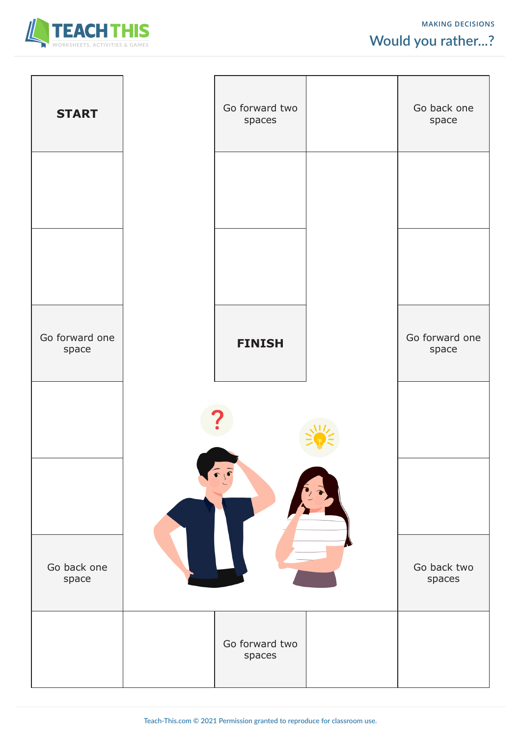